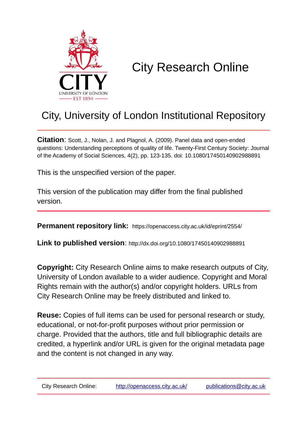

# City Research Online

## City, University of London Institutional Repository

**Citation**: Scott, J., Nolan, J. and Plagnol, A. (2009). Panel data and open-ended questions: Understanding perceptions of quality of life. Twenty-First Century Society: Journal of the Academy of Social Sciences, 4(2), pp. 123-135. doi: 10.1080/17450140902988891

This is the unspecified version of the paper.

This version of the publication may differ from the final published version.

**Permanent repository link:** https://openaccess.city.ac.uk/id/eprint/2554/

**Link to published version**: http://dx.doi.org/10.1080/17450140902988891

**Copyright:** City Research Online aims to make research outputs of City, University of London available to a wider audience. Copyright and Moral Rights remain with the author(s) and/or copyright holders. URLs from City Research Online may be freely distributed and linked to.

**Reuse:** Copies of full items can be used for personal research or study, educational, or not-for-profit purposes without prior permission or charge. Provided that the authors, title and full bibliographic details are credited, a hyperlink and/or URL is given for the original metadata page and the content is not changed in any way.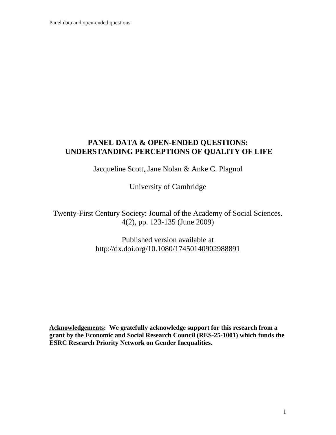Panel data and open-ended questions

#### **PANEL DATA & OPEN-ENDED QUESTIONS: UNDERSTANDING PERCEPTIONS OF QUALITY OF LIFE**

Jacqueline Scott, Jane Nolan & Anke C. Plagnol

University of Cambridge

Twenty-First Century Society: Journal of the Academy of Social Sciences. 4(2), pp. 123-135 (June 2009)

> Published version available at http://dx.doi.org/10.1080/17450140902988891

<span id="page-1-0"></span>**Acknowledgements: We gratefully acknowledge support for this research from a grant by the Economic and Social Research Council (RES-25-1001) which funds the ESRC Research Priority Network on Gender Inequalities.**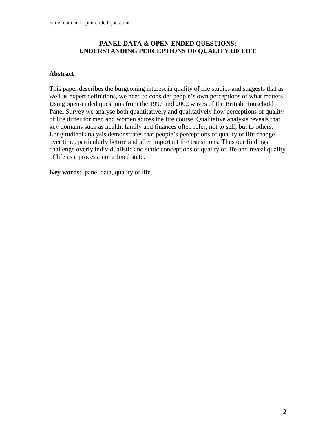#### **PANEL DATA & OPEN-ENDED QUESTIONS: UNDERSTANDING PERCEPTIONS OF QUALITY OF LIFE**

#### **Abstract**

This paper describes the burgeoning interest in quality of life studies and suggests that as well as expert definitions, we need to consider people's own perceptions of what matters. Using open-ended questions from the 1997 and 2002 waves of the British Household Panel Survey we analyse both quantitatively and qualitatively how perceptions of quality of life differ for men and women across the life course. Qualitative analysis reveals that key domains such as health, family and finances often refer, not to self, but to others. Longitudinal analysis demonstrates that people's perceptions of quality of life change over time, particularly before and after important life transitions. Thus our findings challenge overly individualistic and static conceptions of quality of life and reveal quality of life as a process, not a fixed state.

**Key words**: panel data, quality of life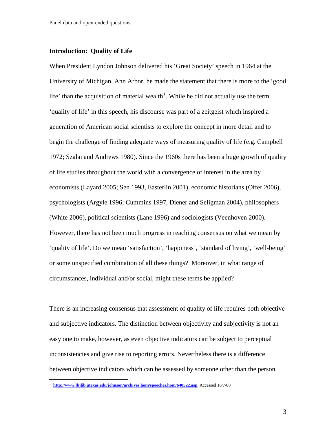#### **Introduction: Quality of Life**

When President Lyndon Johnson delivered his 'Great Society' speech in 1964 at the University of Michigan, Ann Arbor, he made the statement that there is more to the 'good life' than the acquisition of material wealth<sup>[1](#page-1-0)</sup>. While he did not actually use the term 'quality of life' in this speech, his discourse was part of a zeitgeist which inspired a generation of American social scientists to explore the concept in more detail and to begin the challenge of finding adequate ways of measuring quality of life (e.g. Campbell 1972; Szalai and Andrews 1980). Since the 1960s there has been a huge growth of quality of life studies throughout the world with a convergence of interest in the area by economists (Layard 2005; Sen 1993, Easterlin 2001), economic historians (Offer 2006), psychologists (Argyle 1996; Cummins 1997, Diener and Seligman 2004), philosophers (White 2006), political scientists (Lane 1996) and sociologists (Veenhoven 2000). However, there has not been much progress in reaching consensus on what we mean by 'quality of life'. Do we mean 'satisfaction', 'happiness', 'standard of living', 'well-being' or some unspecified combination of all these things? Moreover, in what range of circumstances, individual and/or social, might these terms be applied?

There is an increasing consensus that assessment of quality of life requires both objective and subjective indicators. The distinction between objectivity and subjectivity is not an easy one to make, however, as even objective indicators can be subject to perceptual inconsistencies and give rise to reporting errors. Nevertheless there is a difference between objective indicators which can be assessed by someone other than the person

<span id="page-3-0"></span> <sup>1</sup> **<http://www.lbjlib.utexas.edu/johnson/archives.hom/speeches.hom/640522.asp>** Accessed 16/7/08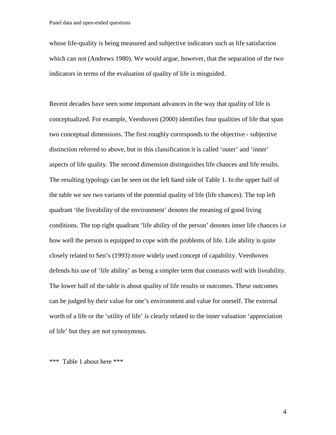whose life-quality is being measured and subjective indicators such as life satisfaction which can not (Andrews 1980). We would argue, however, that the separation of the two indicators in terms of the evaluation of quality of life is misguided.

Recent decades have seen some important advances in the way that quality of life is conceptualized. For example, Veenhoven (2000) identifies four qualities of life that span two conceptual dimensions. The first roughly corresponds to the objective - subjective distinction referred to above, but in this classification it is called 'outer' and 'inner' aspects of life quality. The second dimension distinguishes life chances and life results. The resulting typology can be seen on the left hand side of Table 1. In the upper half of the table we see two variants of the potential quality of life (life chances). The top left quadrant 'the liveability of the environment' denotes the meaning of good living conditions. The top right quadrant 'life ability of the person' denotes inner life chances i.e how well the person is equipped to cope with the problems of life. Life ability is quite closely related to Sen's (1993) more widely used concept of capability. Veenhoven defends his use of 'life ability' as being a simpler term that contrasts well with liveability. The lower half of the table is about quality of life results or outcomes. These outcomes can be judged by their value for one's environment and value for oneself. The external worth of a life or the 'utility of life' is clearly related to the inner valuation 'appreciation of life' but they are not synonymous.

\*\*\* Table 1 about here \*\*\*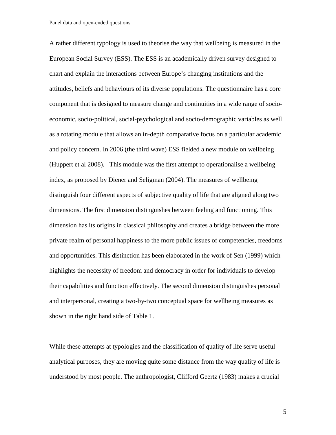A rather different typology is used to theorise the way that wellbeing is measured in the European Social Survey (ESS). The ESS is an academically driven survey designed to chart and explain the interactions between Europe's changing institutions and the attitudes, beliefs and behaviours of its diverse populations. The questionnaire has a core component that is designed to measure change and continuities in a wide range of socioeconomic, socio-political, social-psychological and socio-demographic variables as well as a rotating module that allows an in-depth comparative focus on a particular academic and policy concern. In 2006 (the third wave) ESS fielded a new module on wellbeing (Huppert et al 2008). This module was the first attempt to operationalise a wellbeing index, as proposed by Diener and Seligman (2004). The measures of wellbeing distinguish four different aspects of subjective quality of life that are aligned along two dimensions. The first dimension distinguishes between feeling and functioning. This dimension has its origins in classical philosophy and creates a bridge between the more private realm of personal happiness to the more public issues of competencies, freedoms and opportunities. This distinction has been elaborated in the work of Sen (1999) which highlights the necessity of freedom and democracy in order for individuals to develop their capabilities and function effectively. The second dimension distinguishes personal and interpersonal, creating a two-by-two conceptual space for wellbeing measures as shown in the right hand side of Table 1.

While these attempts at typologies and the classification of quality of life serve useful analytical purposes, they are moving quite some distance from the way quality of life is understood by most people. The anthropologist, Clifford Geertz (1983) makes a crucial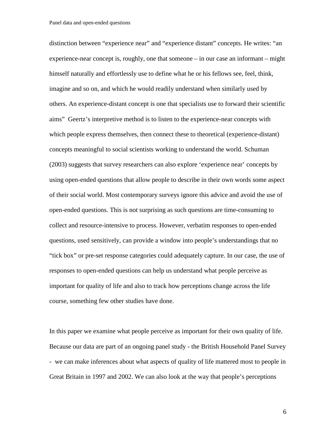distinction between "experience near" and "experience distant" concepts. He writes: "an experience-near concept is, roughly, one that someone – in our case an informant – might himself naturally and effortlessly use to define what he or his fellows see, feel, think, imagine and so on, and which he would readily understand when similarly used by others. An experience-distant concept is one that specialists use to forward their scientific aims" Geertz's interpretive method is to listen to the experience-near concepts with which people express themselves, then connect these to theoretical (experience-distant) concepts meaningful to social scientists working to understand the world. Schuman (2003) suggests that survey researchers can also explore 'experience near' concepts by using open-ended questions that allow people to describe in their own words some aspect of their social world. Most contemporary surveys ignore this advice and avoid the use of open-ended questions. This is not surprising as such questions are time-consuming to collect and resource-intensive to process. However, verbatim responses to open-ended questions, used sensitively, can provide a window into people's understandings that no "tick box" or pre-set response categories could adequately capture. In our case, the use of responses to open-ended questions can help us understand what people perceive as important for quality of life and also to track how perceptions change across the life course, something few other studies have done.

In this paper we examine what people perceive as important for their own quality of life. Because our data are part of an ongoing panel study - the British Household Panel Survey - we can make inferences about what aspects of quality of life mattered most to people in Great Britain in 1997 and 2002. We can also look at the way that people's perceptions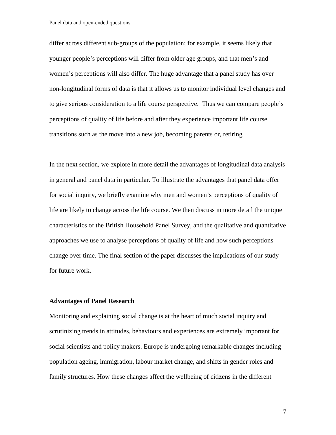Panel data and open-ended questions

differ across different sub-groups of the population; for example, it seems likely that younger people's perceptions will differ from older age groups, and that men's and women's perceptions will also differ. The huge advantage that a panel study has over non-longitudinal forms of data is that it allows us to monitor individual level changes and to give serious consideration to a life course perspective. Thus we can compare people's perceptions of quality of life before and after they experience important life course transitions such as the move into a new job, becoming parents or, retiring.

In the next section, we explore in more detail the advantages of longitudinal data analysis in general and panel data in particular. To illustrate the advantages that panel data offer for social inquiry, we briefly examine why men and women's perceptions of quality of life are likely to change across the life course. We then discuss in more detail the unique characteristics of the British Household Panel Survey, and the qualitative and quantitative approaches we use to analyse perceptions of quality of life and how such perceptions change over time. The final section of the paper discusses the implications of our study for future work.

#### **Advantages of Panel Research**

Monitoring and explaining social change is at the heart of much social inquiry and scrutinizing trends in attitudes, behaviours and experiences are extremely important for social scientists and policy makers. Europe is undergoing remarkable changes including population ageing, immigration, labour market change, and shifts in gender roles and family structures. How these changes affect the wellbeing of citizens in the different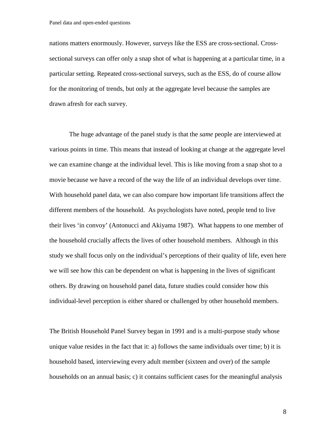nations matters enormously. However, surveys like the ESS are cross-sectional. Crosssectional surveys can offer only a snap shot of what is happening at a particular time, in a particular setting. Repeated cross-sectional surveys, such as the ESS, do of course allow for the monitoring of trends, but only at the aggregate level because the samples are drawn afresh for each survey.

The huge advantage of the panel study is that the *same* people are interviewed at various points in time. This means that instead of looking at change at the aggregate level we can examine change at the individual level. This is like moving from a snap shot to a movie because we have a record of the way the life of an individual develops over time. With household panel data, we can also compare how important life transitions affect the different members of the household. As psychologists have noted, people tend to live their lives 'in convoy' (Antonucci and Akiyama 1987). What happens to one member of the household crucially affects the lives of other household members. Although in this study we shall focus only on the individual's perceptions of their quality of life, even here we will see how this can be dependent on what is happening in the lives of significant others. By drawing on household panel data, future studies could consider how this individual-level perception is either shared or challenged by other household members.

The British Household Panel Survey began in 1991 and is a multi-purpose study whose unique value resides in the fact that it: a) follows the same individuals over time; b) it is household based, interviewing every adult member (sixteen and over) of the sample households on an annual basis; c) it contains sufficient cases for the meaningful analysis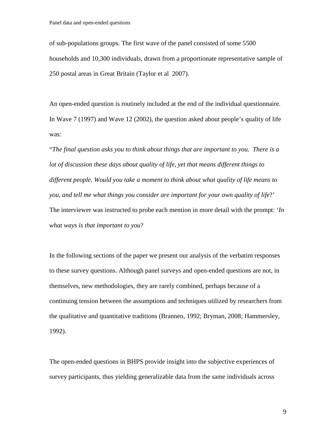of sub-populations groups. The first wave of the panel consisted of some 5500 households and 10,300 individuals, drawn from a proportionate representative sample of 250 postal areas in Great Britain (Taylor et al 2007).

An open-ended question is routinely included at the end of the individual questionnaire. In Wave 7 (1997) and Wave 12 (2002), the question asked about people's quality of life was:

"*The final question asks you to think about things that are important to you. There is a lot of discussion these days about quality of life, yet that means different things to different people. Would you take a moment to think about what quality of life means to you, and tell me what things you consider are important for your own quality of life*?' The interviewer was instructed to probe each mention in more detail with the prompt: '*In what ways is that important to you*?

In the following sections of the paper we present our analysis of the verbatim responses to these survey questions. Although panel surveys and open-ended questions are not, in themselves, new methodologies, they are rarely combined, perhaps because of a continuing tension between the assumptions and techniques utilized by researchers from the qualitative and quantitative traditions (Brannen, 1992; Bryman, 2008; Hammersley, 1992).

The open-ended questions in BHPS provide insight into the subjective experiences of survey participants, thus yielding generalizable data from the same individuals across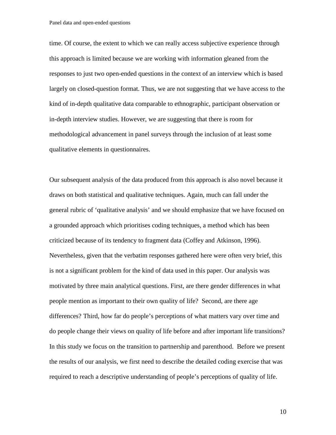time. Of course, the extent to which we can really access subjective experience through this approach is limited because we are working with information gleaned from the responses to just two open-ended questions in the context of an interview which is based largely on closed-question format. Thus, we are not suggesting that we have access to the kind of in-depth qualitative data comparable to ethnographic, participant observation or in-depth interview studies. However, we are suggesting that there is room for methodological advancement in panel surveys through the inclusion of at least some qualitative elements in questionnaires.

Our subsequent analysis of the data produced from this approach is also novel because it draws on both statistical and qualitative techniques. Again, much can fall under the general rubric of 'qualitative analysis' and we should emphasize that we have focused on a grounded approach which prioritises coding techniques, a method which has been criticized because of its tendency to fragment data (Coffey and Atkinson, 1996). Nevertheless, given that the verbatim responses gathered here were often very brief, this is not a significant problem for the kind of data used in this paper. Our analysis was motivated by three main analytical questions. First, are there gender differences in what people mention as important to their own quality of life? Second, are there age differences? Third, how far do people's perceptions of what matters vary over time and do people change their views on quality of life before and after important life transitions? In this study we focus on the transition to partnership and parenthood. Before we present the results of our analysis, we first need to describe the detailed coding exercise that was required to reach a descriptive understanding of people's perceptions of quality of life.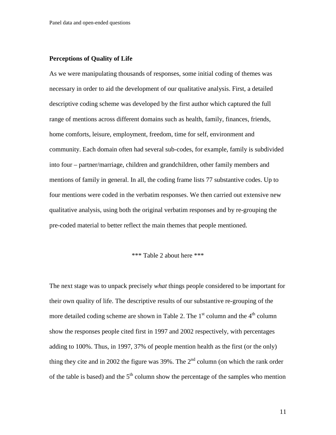#### **Perceptions of Quality of Life**

As we were manipulating thousands of responses, some initial coding of themes was necessary in order to aid the development of our qualitative analysis. First, a detailed descriptive coding scheme was developed by the first author which captured the full range of mentions across different domains such as health, family, finances, friends, home comforts, leisure, employment, freedom, time for self, environment and community. Each domain often had several sub-codes, for example, family is subdivided into four – partner/marriage, children and grandchildren, other family members and mentions of family in general. In all, the coding frame lists 77 substantive codes. Up to four mentions were coded in the verbatim responses. We then carried out extensive new qualitative analysis, using both the original verbatim responses and by re-grouping the pre-coded material to better reflect the main themes that people mentioned.

#### \*\*\* Table 2 about here \*\*\*

The next stage was to unpack precisely *what* things people considered to be important for their own quality of life. The descriptive results of our substantive re-grouping of the more detailed coding scheme are shown in Table 2. The  $1<sup>st</sup>$  column and the  $4<sup>th</sup>$  column show the responses people cited first in 1997 and 2002 respectively, with percentages adding to 100%. Thus, in 1997, 37% of people mention health as the first (or the only) thing they cite and in 2002 the figure was  $39\%$ . The  $2<sup>nd</sup>$  column (on which the rank order of the table is based) and the  $5<sup>th</sup>$  column show the percentage of the samples who mention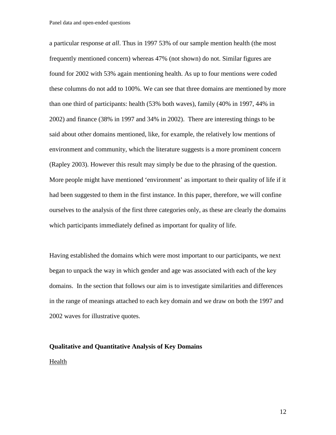a particular response *at all*. Thus in 1997 53% of our sample mention health (the most frequently mentioned concern) whereas 47% (not shown) do not. Similar figures are found for 2002 with 53% again mentioning health. As up to four mentions were coded these columns do not add to 100%. We can see that three domains are mentioned by more than one third of participants: health (53% both waves), family (40% in 1997, 44% in 2002) and finance (38% in 1997 and 34% in 2002). There are interesting things to be said about other domains mentioned, like, for example, the relatively low mentions of environment and community, which the literature suggests is a more prominent concern (Rapley 2003). However this result may simply be due to the phrasing of the question. More people might have mentioned 'environment' as important to their quality of life if it had been suggested to them in the first instance. In this paper, therefore, we will confine ourselves to the analysis of the first three categories only, as these are clearly the domains which participants immediately defined as important for quality of life.

Having established the domains which were most important to our participants, we next began to unpack the way in which gender and age was associated with each of the key domains. In the section that follows our aim is to investigate similarities and differences in the range of meanings attached to each key domain and we draw on both the 1997 and 2002 waves for illustrative quotes.

### **Qualitative and Quantitative Analysis of Key Domains**  Health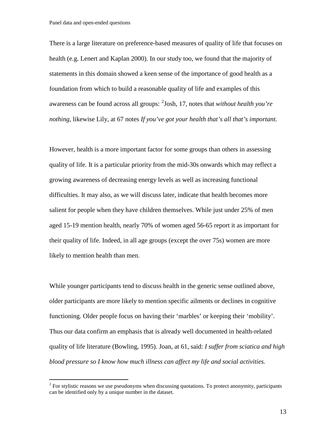There is a large literature on preference-based measures of quality of life that focuses on health (e.g. Lenert and Kaplan 2000). In our study too, we found that the majority of statements in this domain showed a keen sense of the importance of good health as a foundation from which to build a reasonable quality of life and examples of this awareness can be found across all groups: [2](#page-3-0) Josh, 17, notes that *without health you're nothing,* likewise Lily, at 67 notes *If you've got your health that's all that's important.* 

However, health is a more important factor for some groups than others in assessing quality of life. It is a particular priority from the mid-30s onwards which may reflect a growing awareness of decreasing energy levels as well as increasing functional difficulties. It may also, as we will discuss later, indicate that health becomes more salient for people when they have children themselves. While just under 25% of men aged 15-19 mention health, nearly 70% of women aged 56-65 report it as important for their quality of life. Indeed, in all age groups (except the over 75s) women are more likely to mention health than men.

While younger participants tend to discuss health in the generic sense outlined above, older participants are more likely to mention specific ailments or declines in cognitive functioning. Older people focus on having their 'marbles' or keeping their 'mobility'. Thus our data confirm an emphasis that is already well documented in health-related quality of life literature (Bowling, 1995). Joan, at 61, said: *I suffer from sciatica and high blood pressure so I know how much illness can affect my life and social activities.* 

 $2$  For stylistic reasons we use pseudonyms when discussing quotations. To protect anonymity, participants can be identified only by a unique number in the dataset.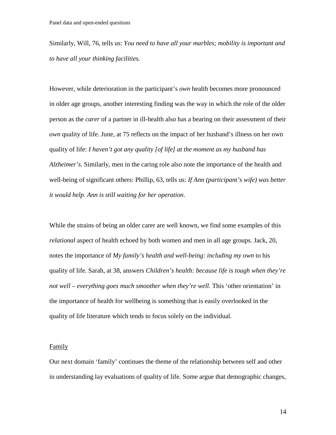Similarly, Will, 76, tells us: *You need to have all your marbles; mobility is important and to have all your thinking facilities.* 

However, while deterioration in the participant's *own* health becomes more pronounced in older age groups, another interesting finding was the way in which the role of the older person as the *carer* of a partner in ill-health also has a bearing on their assessment of their *own* quality of life. June, at 75 reflects on the impact of her husband's illness on her own quality of life: *I haven't got any quality [of life] at the moment as my husband has Alzheimer's.* Similarly, men in the caring role also note the importance of the health and well-being of significant others: Phillip, 63, tells us: *If Ann (participant's wife) was better it would help. Ann is still waiting for her operation*.

While the strains of being an older carer are well known, we find some examples of this *relational* aspect of health echoed by both women and men in all age groups. Jack, 20, notes the importance of *My family's health and well-being: including my own* to his quality of life. Sarah, at 38, answers *Children's health: because life is tough when they're not well – everything goes much smoother when they're well.* This 'other orientation' in the importance of health for wellbeing is something that is easily overlooked in the quality of life literature which tends to focus solely on the individual.

#### Family

Our next domain 'family' continues the theme of the relationship between self and other in understanding lay evaluations of quality of life. Some argue that demographic changes,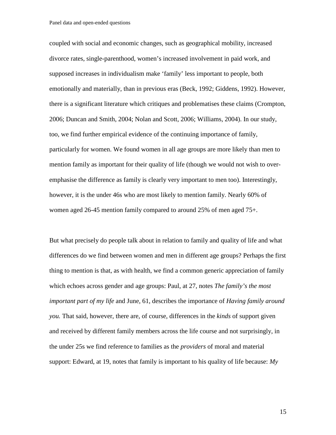Panel data and open-ended questions

coupled with social and economic changes, such as geographical mobility, increased divorce rates, single-parenthood, women's increased involvement in paid work, and supposed increases in individualism make 'family' less important to people, both emotionally and materially, than in previous eras (Beck, 1992; Giddens, 1992). However, there is a significant literature which critiques and problematises these claims (Crompton, 2006; Duncan and Smith, 2004; Nolan and Scott, 2006; Williams, 2004). In our study, too, we find further empirical evidence of the continuing importance of family, particularly for women. We found women in all age groups are more likely than men to mention family as important for their quality of life (though we would not wish to overemphasise the difference as family is clearly very important to men too). Interestingly, however, it is the under 46s who are most likely to mention family. Nearly 60% of women aged 26-45 mention family compared to around 25% of men aged 75+.

But what precisely do people talk about in relation to family and quality of life and what differences do we find between women and men in different age groups? Perhaps the first thing to mention is that, as with health, we find a common generic appreciation of family which echoes across gender and age groups: Paul, at 27, notes *The family's the most important part of my life* and June, 61, describes the importance of *Having family around you.* That said, however, there are, of course, differences in the *kinds* of support given and received by different family members across the life course and not surprisingly, in the under 25s we find reference to families as the *providers* of moral and material support: Edward, at 19, notes that family is important to his quality of life because: *My*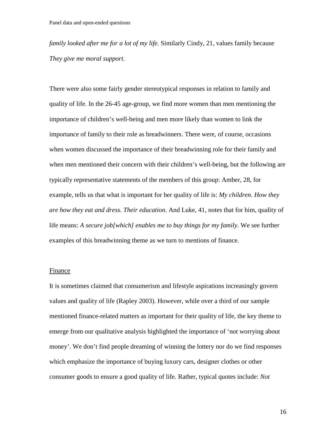*family looked after me for a lot of my life.* Similarly Cindy, 21, values family because *They give me moral support*.

There were also some fairly gender stereotypical responses in relation to family and quality of life. In the 26-45 age-group, we find more women than men mentioning the importance of children's well-being and men more likely than women to link the importance of family to their role as breadwinners. There were, of course, occasions when women discussed the importance of their breadwinning role for their family and when men mentioned their concern with their children's well-being, but the following are typically representative statements of the members of this group: Amber, 28, for example, tells us that what is important for her quality of life is: *My children. How they are how they eat and dress. Their education*. And Luke, 41, notes that for him, quality of life means: *A secure job[which] enables me to buy things for my family*. We see further examples of this breadwinning theme as we turn to mentions of finance.

#### Finance

It is sometimes claimed that consumerism and lifestyle aspirations increasingly govern values and quality of life (Rapley 2003). However, while over a third of our sample mentioned finance-related matters as important for their quality of life, the key theme to emerge from our qualitative analysis highlighted the importance of 'not worrying about money'. We don't find people dreaming of winning the lottery nor do we find responses which emphasize the importance of buying luxury cars, designer clothes or other consumer goods to ensure a good quality of life. Rather, typical quotes include: *Not*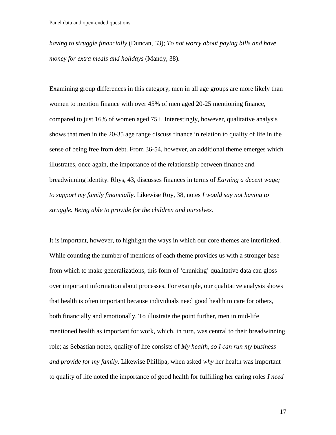*having to struggle financially* (Duncan, 33); *To not worry about paying bills and have money for extra meals and holidays* (Mandy, 38)**.** 

Examining group differences in this category, men in all age groups are more likely than women to mention finance with over 45% of men aged 20-25 mentioning finance, compared to just 16% of women aged 75+. Interestingly, however, qualitative analysis shows that men in the 20-35 age range discuss finance in relation to quality of life in the sense of being free from debt. From 36-54, however, an additional theme emerges which illustrates, once again, the importance of the relationship between finance and breadwinning identity. Rhys, 43, discusses finances in terms of *Earning a decent wage; to support my family financially*. Likewise Roy, 38, notes *I would say not having to struggle. Being able to provide for the children and ourselves.*

It is important, however, to highlight the ways in which our core themes are interlinked. While counting the number of mentions of each theme provides us with a stronger base from which to make generalizations, this form of 'chunking' qualitative data can gloss over important information about processes. For example, our qualitative analysis shows that health is often important because individuals need good health to care for others, both financially and emotionally. To illustrate the point further, men in mid-life mentioned health as important for work, which, in turn, was central to their breadwinning role; as Sebastian notes, quality of life consists of *My health, so I can run my business and provide for my family*. Likewise Phillipa, when asked *why* her health was important to quality of life noted the importance of good health for fulfilling her caring roles *I need*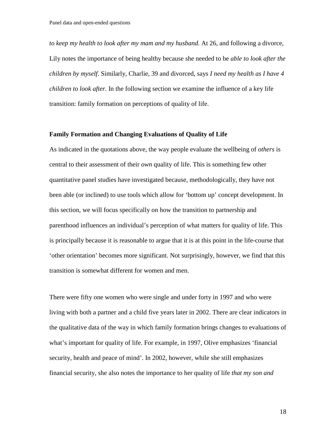*to keep my health to look after my mam and my husband.* At 26, and following a divorce, Lily notes the importance of being healthy because she needed to be *able to look after the children by myself*. Similarly, Charlie, 39 and divorced, says *I need my health as I have 4 children to look after.* In the following section we examine the influence of a key life transition: family formation on perceptions of quality of life.

#### **Family Formation and Changing Evaluations of Quality of Life**

As indicated in the quotations above, the way people evaluate the wellbeing of *others* is central to their assessment of their *own* quality of life. This is something few other quantitative panel studies have investigated because, methodologically, they have not been able (or inclined) to use tools which allow for 'bottom up' concept development. In this section, we will focus specifically on how the transition to partnership and parenthood influences an individual's perception of what matters for quality of life. This is principally because it is reasonable to argue that it is at this point in the life-course that 'other orientation' becomes more significant. Not surprisingly, however, we find that this transition is somewhat different for women and men.

There were fifty one women who were single and under forty in 1997 and who were living with both a partner and a child five years later in 2002. There are clear indicators in the qualitative data of the way in which family formation brings changes to evaluations of what's important for quality of life. For example, in 1997, Olive emphasizes 'financial security, health and peace of mind'. In 2002, however, while she still emphasizes financial security, she also notes the importance to her quality of life *that my son and*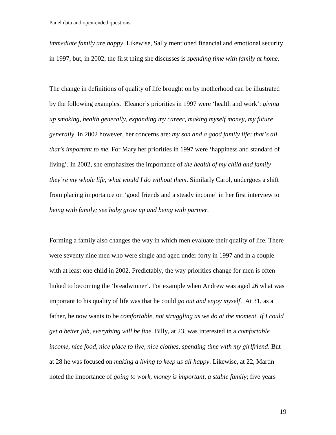*immediate family are happy*. Likewise, Sally mentioned financial and emotional security in 1997, but, in 2002, the first thing she discusses is *spending time with family at home*.

The change in definitions of quality of life brought on by motherhood can be illustrated by the following examples. Eleanor's priorities in 1997 were 'health and work': *giving up smoking, health generally, expanding my career, making myself money, my future generally*. In 2002 however, her concerns are: *my son and a good family life: that's all that's important to me*. For Mary her priorities in 1997 were 'happiness and standard of living'. In 2002, she emphasizes the importance of *the health of my child and family – they're my whole life, what would I do without them*. Similarly Carol, undergoes a shift from placing importance on 'good friends and a steady income' in her first interview to *being with family; see baby grow up and being with partner.* 

Forming a family also changes the way in which men evaluate their quality of life. There were seventy nine men who were single and aged under forty in 1997 and in a couple with at least one child in 2002. Predictably, the way priorities change for men is often linked to becoming the 'breadwinner'. For example when Andrew was aged 26 what was important to his quality of life was that he could *go out and enjoy myself*. At 31, as a father, he now wants to be *comfortable, not struggling as we do at the moment. If I could get a better job, everything will be fine*. Billy, at 23, was interested in a *comfortable income, nice food, nice place to live, nice clothes, spending time with my girlfriend*. But at 28 he was focused on *making a living to keep us all happy*. Likewise, at 22, Martin noted the importance of *going to work, money is important, a stable family*; five years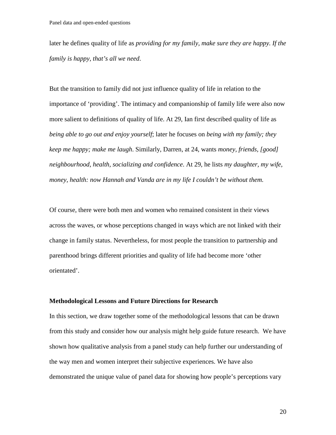later he defines quality of life as *providing for my family, make sure they are happy. If the family is happy, that's all we need*.

But the transition to family did not just influence quality of life in relation to the importance of 'providing'. The intimacy and companionship of family life were also now more salient to definitions of quality of life. At 29, Ian first described quality of life as *being able to go out and enjoy yourself*; later he focuses on *being with my family; they keep me happy; make me laugh*. Similarly, Darren, at 24, wants *money, friends, [good] neighbourhood, health, socializing and confidence*. At 29, he lists *my daughter, my wife, money, health: now Hannah and Vanda are in my life I couldn't be without them.*

Of course, there were both men and women who remained consistent in their views across the waves, or whose perceptions changed in ways which are not linked with their change in family status. Nevertheless, for most people the transition to partnership and parenthood brings different priorities and quality of life had become more 'other orientated'.

#### **Methodological Lessons and Future Directions for Research**

In this section, we draw together some of the methodological lessons that can be drawn from this study and consider how our analysis might help guide future research. We have shown how qualitative analysis from a panel study can help further our understanding of the way men and women interpret their subjective experiences. We have also demonstrated the unique value of panel data for showing how people's perceptions vary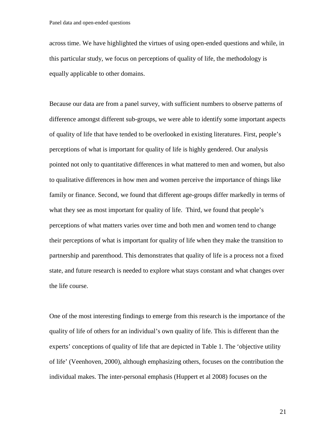across time. We have highlighted the virtues of using open-ended questions and while, in this particular study, we focus on perceptions of quality of life, the methodology is equally applicable to other domains.

Because our data are from a panel survey, with sufficient numbers to observe patterns of difference amongst different sub-groups, we were able to identify some important aspects of quality of life that have tended to be overlooked in existing literatures. First, people's perceptions of what is important for quality of life is highly gendered. Our analysis pointed not only to quantitative differences in what mattered to men and women, but also to qualitative differences in how men and women perceive the importance of things like family or finance. Second, we found that different age-groups differ markedly in terms of what they see as most important for quality of life. Third, we found that people's perceptions of what matters varies over time and both men and women tend to change their perceptions of what is important for quality of life when they make the transition to partnership and parenthood. This demonstrates that quality of life is a process not a fixed state, and future research is needed to explore what stays constant and what changes over the life course.

One of the most interesting findings to emerge from this research is the importance of the quality of life of others for an individual's own quality of life. This is different than the experts' conceptions of quality of life that are depicted in Table 1. The 'objective utility of life' (Veenhoven, 2000), although emphasizing others, focuses on the contribution the individual makes. The inter-personal emphasis (Huppert et al 2008) focuses on the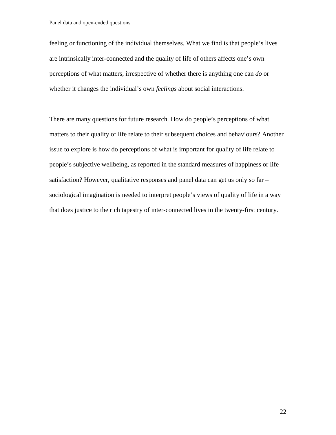feeling or functioning of the individual themselves. What we find is that people's lives are intrinsically inter-connected and the quality of life of others affects one's own perceptions of what matters, irrespective of whether there is anything one can *do* or whether it changes the individual's own *feelings* about social interactions.

There are many questions for future research. How do people's perceptions of what matters to their quality of life relate to their subsequent choices and behaviours? Another issue to explore is how do perceptions of what is important for quality of life relate to people's subjective wellbeing, as reported in the standard measures of happiness or life satisfaction? However, qualitative responses and panel data can get us only so far – sociological imagination is needed to interpret people's views of quality of life in a way that does justice to the rich tapestry of inter-connected lives in the twenty-first century.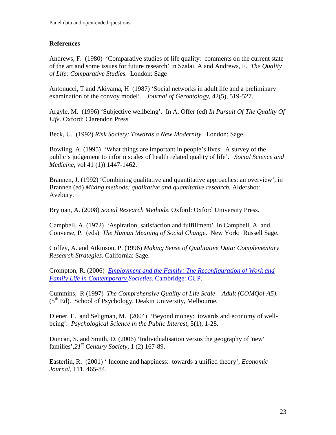#### **References**

Andrews, F. (1980) 'Comparative studies of life quality: comments on the current state of the art and some issues for future research' in Szalai, A and Andrews, F. *The Quality of Life: Comparative Studies.* London: Sage

Antonucci, T and Akiyama, H (1987) 'Social networks in adult life and a preliminary examination of the convoy model'. *Journal of Gerontology*, 42(5), 519-527.

Argyle, M. (1996) 'Subjective wellbeing'. In A. Offer (ed) *In Pursuit Of The Quality Of Life*. Oxford: Clarendon Press

Beck, U. (1992) *Risk Society: Towards a New Modernity*. London: Sage.

Bowling, A. (1995) 'What things are important in people's lives: A survey of the public's judgement to inform scales of health related quality of life'. *Social Science and Medicine*, vol 41 (1)) 1447-1462.

Brannen, J. (1992) 'Combining qualitative and quantitative approaches: an overview', in Brannen (ed) *Mixing methods: qualitative and quantitative research.* Aldershot: Avebury**.**

Bryman, A. (2008) *Social Research Methods*. Oxford: Oxford University Press.

Campbell, A. (1972) 'Aspiration, satisfaction and fulfillment' in Campbell, A. and Converse, P. (eds) *The Human Meaning of Social Change*. New York: Russell Sage.

Coffey, A. and Atkinson, P. (1996) *Making Sense of Qualitative Data: Complementary Research Strategies*. California: Sage.

Crompton, R. (2006) *[Employment and the Family: The Reconfiguration of Work and](http://books.google.co.uk/books?hl=en&lr=&id=dCuNR4rHo_IC&oi=fnd&pg=PA1&dq=crompton+family+individualization&ots=KLBXvy2Tmk&sig=cIOGv3xGU19xyGXj42FmL8r-CS4)  [Family Life in Contemporary S](http://books.google.co.uk/books?hl=en&lr=&id=dCuNR4rHo_IC&oi=fnd&pg=PA1&dq=crompton+family+individualization&ots=KLBXvy2Tmk&sig=cIOGv3xGU19xyGXj42FmL8r-CS4)ocieties.* Cambridge: CUP.

Cummins, R (1997) *The Comprehensive Quality of Life Scale – Adult (COMQol-A5)*.  $(5<sup>th</sup> Ed)$ . School of Psychology, Deakin University, Melbourne.

Diener, E. and Seligman, M. (2004) 'Beyond money: towards and economy of wellbeing'. *Psychological Science in the Public Interest*, 5(1), 1-28.

Duncan, S. and Smith, D. (2006) 'Individualisation versus the geography of 'new' families',*21st Century Society*, 1 (2) 167-89.

Easterlin, R. (2001) ' Income and happiness: towards a unified theory', *Economic Journal*, 111, 465-84.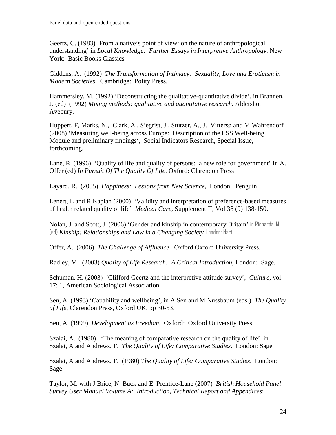Geertz, C. (1983) 'From a native's point of view: on the nature of anthropological understanding' in *Local Knowledge: Further Essays in Interpretive Anthropology*. New York: Basic Books Classics

Giddens, A. (1992) *The Transformation of Intimacy: Sexuality, Love and Eroticism in Modern Societies.* Cambridge: Polity Press.

Hammersley, M. (1992) 'Deconstructing the qualitative-quantitative divide', in Brannen, J. (ed) (1992) *Mixing methods: qualitative and quantitative research.* Aldershot: Avebury.

Huppert, F, Marks, N., Clark, A., Siegrist, J., Stutzer, A., J. Vittersø and M Wahrendorf (2008) 'Measuring well-being across Europe: Description of the ESS Well-being Module and preliminary findings', Social Indicators Research, Special Issue, forthcoming.

Lane, R (1996) 'Quality of life and quality of persons: a new role for government' In A. Offer (ed) *In Pursuit Of The Quality Of Life*. Oxford: Clarendon Press

Layard, R. (2005) *Happiness: Lessons from New Science*, London: Penguin.

Lenert, L and R Kaplan (2000) 'Validity and interpretation of preference-based measures of health related quality of life' *Medical Care*, Supplement II, Vol 38 (9) 138-150.

Nolan, J. and Scott, J. (2006) 'Gender and kinship in contemporary Britain' in Richards, M. (ed) *Kinship: Relationships and Law in a Changing Society*. London: Hart

Offer, A. (2006) *The Challenge of Affluence*. Oxford Oxford University Press.

Radley, M. (2003) *Quality of Life Research: A Critical Introduction*, London: Sage.

Schuman, H. (2003) 'Clifford Geertz and the interpretive attitude survey', *Culture*, vol 17: 1, American Sociological Association.

Sen, A. (1993) 'Capability and wellbeing', in A Sen and M Nussbaum (eds.) *The Quality of Life*, Clarendon Press, Oxford UK, pp 30-53.

Sen, A. (1999) *Development as Freedom*. Oxford: Oxford University Press.

Szalai, A. (1980) 'The meaning of comparative research on the quality of life' in Szalai, A and Andrews, F. *The Quality of Life: Comparative Studies*. London: Sage

Szalai, A and Andrews, F. (1980) *The Quality of Life: Comparative Studies*. London: Sage

Taylor, M. with J Brice, N. Buck and E. Prentice-Lane (2007) *British Household Panel Survey User Manual Volume A: Introduction, Technical Report and Appendices*: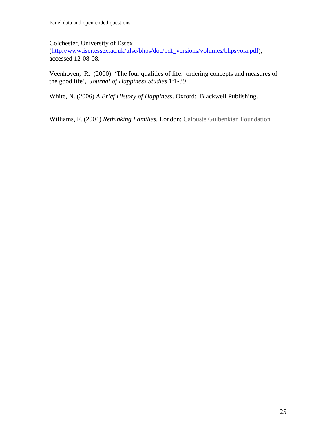Colchester, University of Essex

[\(http://www.iser.essex.ac.uk/ulsc/bhps/doc/pdf\\_versions/volumes/bhpsvola.pdf\)](http://www.iser.essex.ac.uk/ulsc/bhps/doc/pdf_versions/volumes/bhpsvola.pdf), accessed 12-08-08.

Veenhoven, R. (2000) 'The four qualities of life: ordering concepts and measures of the good life', *Journal of Happiness Studies* 1:1-39.

White, N. (2006) *A Brief History of Happiness*. Oxford: Blackwell Publishing.

Williams, F. (2004) *Rethinking Families.* London: Calouste Gulbenkian Foundation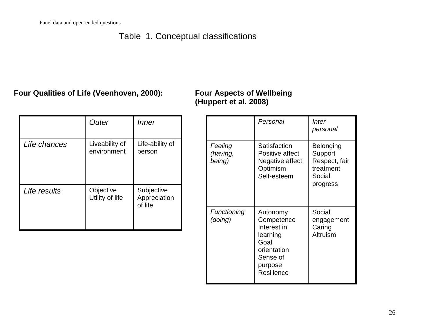### Table 1. Conceptual classifications

### **Four Qualities of Life (Veenhoven, 2000): Four Aspects of Wellbeing**

# **(Huppert et al. 2008)**

|              | Outer                         | <i>Inner</i>                          |
|--------------|-------------------------------|---------------------------------------|
| Life chances | Liveability of<br>environment | Life-ability of<br>person             |
| Life results | Objective<br>Utility of life  | Subjective<br>Appreciation<br>of life |

|                               | Personal                                                                                                      | Inter-<br>personal                                                        |  |
|-------------------------------|---------------------------------------------------------------------------------------------------------------|---------------------------------------------------------------------------|--|
| Feeling<br>(having,<br>being) | Satisfaction<br>Positive affect<br>Negative affect<br>Optimism<br>Self-esteem                                 | Belonging<br>Support<br>Respect, fair<br>treatment,<br>Social<br>progress |  |
| Functioning<br>(doing)        | Autonomy<br>Competence<br>Interest in<br>learning<br>Goal<br>orientation<br>Sense of<br>purpose<br>Resilience | Social<br>engagement<br>Caring<br>Altruism                                |  |